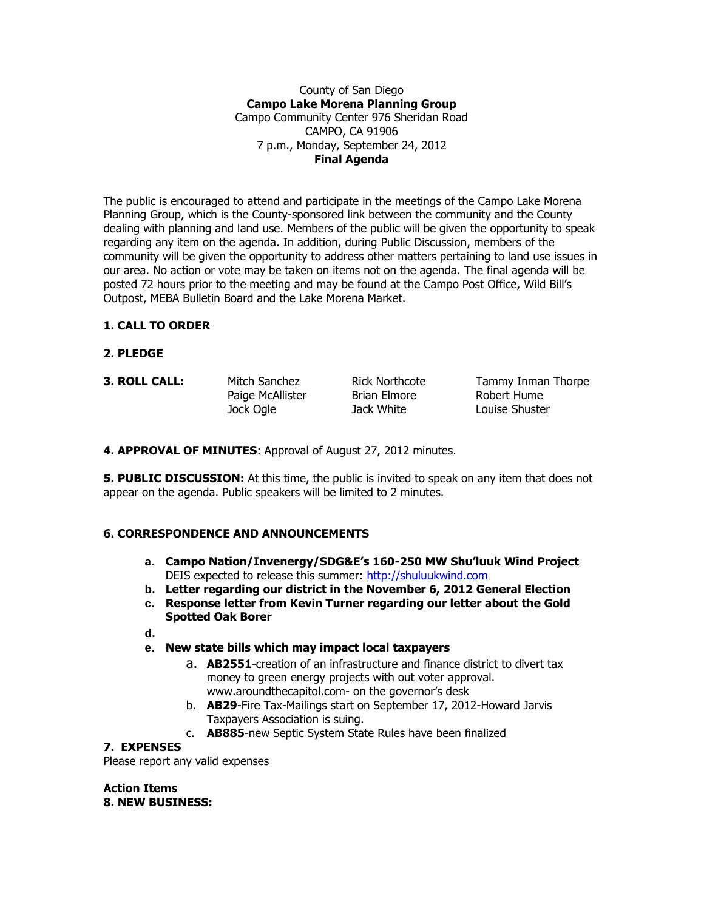#### County of San Diego **Campo Lake Morena Planning Group** Campo Community Center 976 Sheridan Road CAMPO, CA 91906 7 p.m., Monday, September 24, 2012 **Final Agenda**

The public is encouraged to attend and participate in the meetings of the Campo Lake Morena Planning Group, which is the County-sponsored link between the community and the County dealing with planning and land use. Members of the public will be given the opportunity to speak regarding any item on the agenda. In addition, during Public Discussion, members of the community will be given the opportunity to address other matters pertaining to land use issues in our area. No action or vote may be taken on items not on the agenda. The final agenda will be posted 72 hours prior to the meeting and may be found at the Campo Post Office, Wild Bill's Outpost, MEBA Bulletin Board and the Lake Morena Market.

# **1. CALL TO ORDER**

- **2. PLEDGE**
- 

Paige McAllister Brian Elmore Robert Hume Jock Ogle Jack White Louise Shuster

**3. ROLL CALL:** Mitch Sanchez Rick Northcote Tammy Inman Thorpe

**4. APPROVAL OF MINUTES**: Approval of August 27, 2012 minutes.

**5. PUBLIC DISCUSSION:** At this time, the public is invited to speak on any item that does not appear on the agenda. Public speakers will be limited to 2 minutes.

## **6. CORRESPONDENCE AND ANNOUNCEMENTS**

- **a. Campo Nation/Invenergy/SDG&E's 160-250 MW Shu'luuk Wind Project** DEIS expected to release this summer: [http://shuluukwind.com](http://shuluukwind.com/)
- **b. Letter regarding our district in the November 6, 2012 General Election**
- **c. Response letter from Kevin Turner regarding our letter about the Gold Spotted Oak Borer**
- **d.**
- **e. New state bills which may impact local taxpayers**
	- a. **AB2551**-creation of an infrastructure and finance district to divert tax money to green energy projects with out voter approval. www.aroundthecapitol.com- on the governor's desk
	- b. **AB29**-Fire Tax-Mailings start on September 17, 2012-Howard Jarvis Taxpayers Association is suing.
	- c. **AB885**-new Septic System State Rules have been finalized

## **7. EXPENSES**

Please report any valid expenses

**Action Items 8. NEW BUSINESS:**